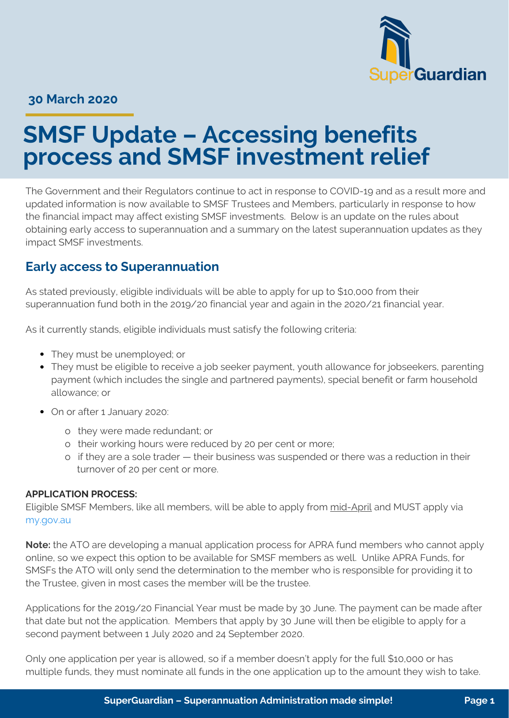

#### **30 March 2020**

# **SMSF Update – Accessing benefits process and SMSF investment relief**

The Government and their Regulators continue to act in response to COVID-19 and as a result more and updated information is now available to SMSF Trustees and Members, particularly in response to how the financial impact may affect existing SMSF investments. Below is an update on the rules about obtaining early access to superannuation and a summary on the latest superannuation updates as they impact SMSF investments.

### **Early access to Superannuation**

As stated previously, eligible individuals will be able to apply for up to \$10,000 from their superannuation fund both in the 2019/20 financial year and again in the 2020/21 financial year.

As it currently stands, eligible individuals must satisfy the following criteria:

- They must be unemployed; or
- They must be eligible to receive a job seeker payment, youth allowance for jobseekers, parenting payment (which includes the single and partnered payments), special benefit or farm household allowance; or
- On or after 1 January 2020:
	- o they were made redundant; or
	- o their working hours were reduced by 20 per cent or more;
	- o if they are a sole trader their business was suspended or there was a reduction in their turnover of 20 per cent or more.

#### **APPLICATION PROCESS:**

Eligible SMSF Members, like all members, will be able to apply from mid-April and MUST apply via [my.gov.au](http://my.gov.au/)

**Note:** the ATO are developing a manual application process for APRA fund members who cannot apply online, so we expect this option to be available for SMSF members as well. Unlike APRA Funds, for SMSFs the ATO will only send the determination to the member who is responsible for providing it to the Trustee, given in most cases the member will be the trustee.

Applications for the 2019/20 Financial Year must be made by 30 June. The payment can be made after that date but not the application. Members that apply by 30 June will then be eligible to apply for a second payment between 1 July 2020 and 24 September 2020.

Only one application per year is allowed, so if a member doesn't apply for the full \$10,000 or has multiple funds, they must nominate all funds in the one application up to the amount they wish to take.